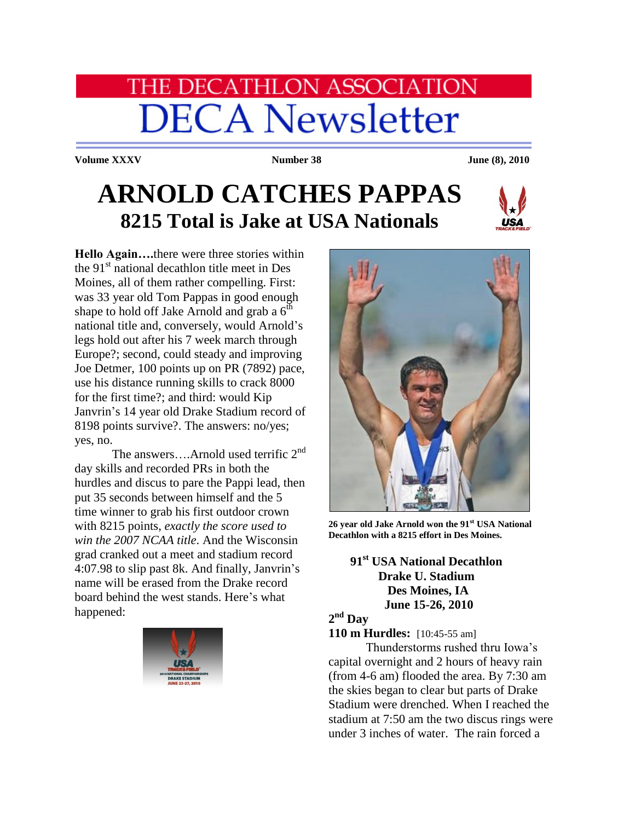# **HE DECATHLON ASSOCIATION DECA Newsletter**

**Volume XXXV Number 38 June (8), 2010** 

# **ARNOLD CATCHES PAPPAS 8215 Total is Jake at USA Nationals**



**Hello Again….**there were three stories within the  $91<sup>st</sup>$  national decathlon title meet in Des Moines, all of them rather compelling. First: was 33 year old Tom Pappas in good enough shape to hold off Jake Arnold and grab a  $6<sup>th</sup>$ national title and, conversely, would Arnold's legs hold out after his 7 week march through Europe?; second, could steady and improving Joe Detmer, 100 points up on PR (7892) pace, use his distance running skills to crack 8000 for the first time?; and third: would Kip Janvrin's 14 year old Drake Stadium record of 8198 points survive?. The answers: no/yes; yes, no.

The answers....Arnold used terrific  $2<sup>nd</sup>$ day skills and recorded PRs in both the hurdles and discus to pare the Pappi lead, then put 35 seconds between himself and the 5 time winner to grab his first outdoor crown with 8215 points, *exactly the score used to win the 2007 NCAA title*. And the Wisconsin grad cranked out a meet and stadium record 4:07.98 to slip past 8k. And finally, Janvrin's name will be erased from the Drake record board behind the west stands. Here's what happened:





**26 year old Jake Arnold won the 91st USA National Decathlon with a 8215 effort in Des Moines.**

## **91st USA National Decathlon Drake U. Stadium Des Moines, IA June 15-26, 2010**

### **2 nd Day**

**110 m Hurdles:** [10:45-55 am]

Thunderstorms rushed thru Iowa's capital overnight and 2 hours of heavy rain (from 4-6 am) flooded the area. By 7:30 am the skies began to clear but parts of Drake Stadium were drenched. When I reached the stadium at 7:50 am the two discus rings were under 3 inches of water. The rain forced a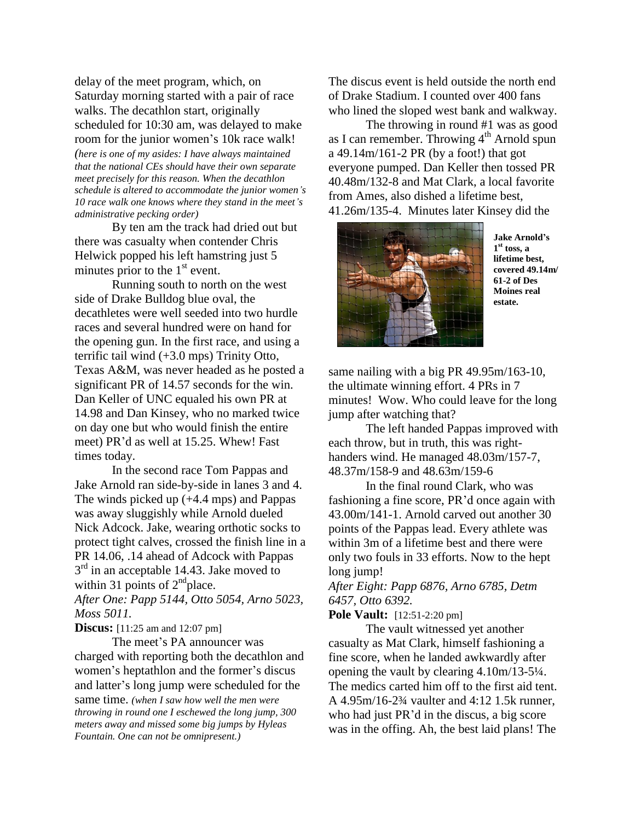delay of the meet program, which, on Saturday morning started with a pair of race walks. The decathlon start, originally scheduled for 10:30 am, was delayed to make room for the junior women's 10k race walk! *(here is one of my asides: I have always maintained that the national CEs should have their own separate meet precisely for this reason. When the decathlon schedule is altered to accommodate the junior women's 10 race walk one knows where they stand in the meet's administrative pecking order)*

By ten am the track had dried out but there was casualty when contender Chris Helwick popped his left hamstring just 5 minutes prior to the  $1<sup>st</sup>$  event.

Running south to north on the west side of Drake Bulldog blue oval, the decathletes were well seeded into two hurdle races and several hundred were on hand for the opening gun. In the first race, and using a terrific tail wind (+3.0 mps) Trinity Otto, Texas A&M, was never headed as he posted a significant PR of 14.57 seconds for the win. Dan Keller of UNC equaled his own PR at 14.98 and Dan Kinsey, who no marked twice on day one but who would finish the entire meet) PR'd as well at 15.25. Whew! Fast times today.

In the second race Tom Pappas and Jake Arnold ran side-by-side in lanes 3 and 4. The winds picked up (+4.4 mps) and Pappas was away sluggishly while Arnold dueled Nick Adcock. Jake, wearing orthotic socks to protect tight calves, crossed the finish line in a PR 14.06, .14 ahead of Adcock with Pappas  $3<sup>rd</sup>$  in an acceptable 14.43. Jake moved to within 31 points of  $2<sup>nd</sup>$ place. *After One: Papp 5144, Otto 5054, Arno 5023, Moss 5011.*

**Discus:** [11:25 am and 12:07 pm]

The meet's PA announcer was charged with reporting both the decathlon and women's heptathlon and the former's discus and latter's long jump were scheduled for the

same time. *(when I saw how well the men were throwing in round one I eschewed the long jump, 300 meters away and missed some big jumps by Hyleas Fountain. One can not be omnipresent.)*

The discus event is held outside the north end of Drake Stadium. I counted over 400 fans who lined the sloped west bank and walkway.

The throwing in round #1 was as good as I can remember. Throwing  $4<sup>th</sup>$  Arnold spun a 49.14m/161-2 PR (by a foot!) that got everyone pumped. Dan Keller then tossed PR 40.48m/132-8 and Mat Clark, a local favorite from Ames, also dished a lifetime best, 41.26m/135-4. Minutes later Kinsey did the



**Jake Arnold's 1 st toss, a lifetime best, covered 49.14m/ 61-2 of Des Moines real estate.** 

same nailing with a big PR 49.95m/163-10, the ultimate winning effort. 4 PRs in 7 minutes! Wow. Who could leave for the long jump after watching that?

The left handed Pappas improved with each throw, but in truth, this was righthanders wind. He managed  $48.03 \text{m}/157$ -7, 48.37m/158-9 and 48.63m/159-6

In the final round Clark, who was fashioning a fine score, PR'd once again with 43.00m/141-1. Arnold carved out another 30 points of the Pappas lead. Every athlete was within 3m of a lifetime best and there were only two fouls in 33 efforts. Now to the hept long jump!

*After Eight: Papp 6876, Arno 6785, Detm 6457, Otto 6392.*

**Pole Vault:** [12:51-2:20 pm]

The vault witnessed yet another casualty as Mat Clark, himself fashioning a fine score, when he landed awkwardly after opening the vault by clearing 4.10m/13-5¼. The medics carted him off to the first aid tent. A 4.95m/16-2¾ vaulter and 4:12 1.5k runner, who had just PR'd in the discus, a big score was in the offing. Ah, the best laid plans! The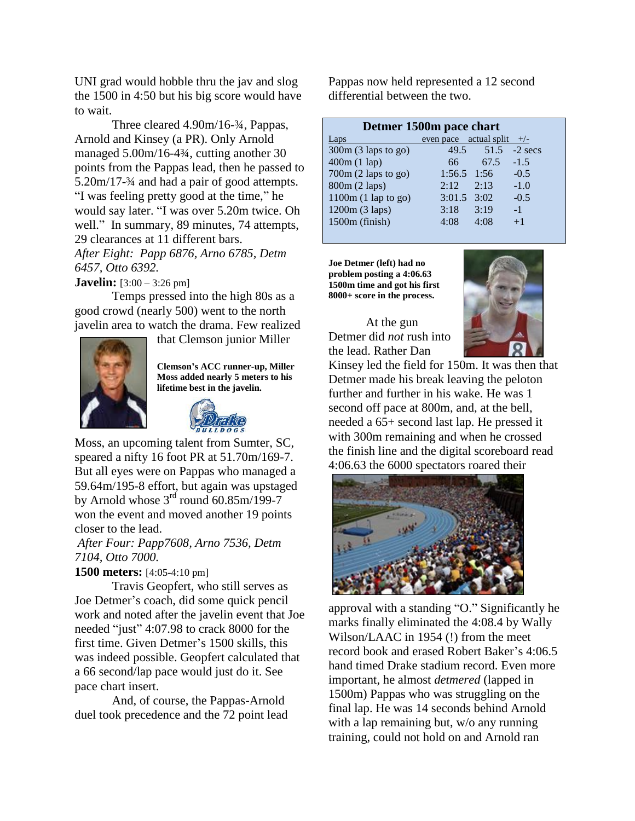UNI grad would hobble thru the jav and slog the 1500 in 4:50 but his big score would have to wait.

Three cleared 4.90m/16-¾, Pappas, Arnold and Kinsey (a PR). Only Arnold managed 5.00m/16-4¾, cutting another 30 points from the Pappas lead, then he passed to 5.20m/17-¾ and had a pair of good attempts. "I was feeling pretty good at the time," he would say later. "I was over 5.20m twice. Oh well." In summary, 89 minutes, 74 attempts, 29 clearances at 11 different bars. *After Eight: Papp 6876, Arno 6785, Detm* 

*6457, Otto 6392.*

**Javelin:** [3:00 – 3:26 pm]

Temps pressed into the high 80s as a good crowd (nearly 500) went to the north javelin area to watch the drama. Few realized



that Clemson junior Miller

**Clemson's ACC runner-up, Miller Moss added nearly 5 meters to his lifetime best in the javelin.**



Moss, an upcoming talent from Sumter, SC, speared a nifty 16 foot PR at 51.70m/169-7. But all eyes were on Pappas who managed a 59.64m/195-8 effort, but again was upstaged by Arnold whose  $3^{rd}$  round 60.85m/199-7 won the event and moved another 19 points closer to the lead.

*After Four: Papp7608, Arno 7536, Detm 7104, Otto 7000.*

**1500 meters:** [4:05-4:10 pm]

Travis Geopfert, who still serves as Joe Detmer's coach, did some quick pencil work and noted after the javelin event that Joe needed "just" 4:07.98 to crack 8000 for the first time. Given Detmer's 1500 skills, this was indeed possible. Geopfert calculated that a 66 second/lap pace would just do it. See pace chart insert.

And, of course, the Pappas-Arnold duel took precedence and the 72 point lead

Pappas now held represented a 12 second differential between the two.

| Detmer 1500m pace chart |                        |      |           |  |
|-------------------------|------------------------|------|-----------|--|
| Laps                    | even pace actual split |      | $+/-$     |  |
| 300m (3 laps to go)     | 49.5                   | 51.5 | $-2$ secs |  |
| 400m(1 lap)             | 66                     | 67.5 | $-1.5$    |  |
| 700m (2 laps to go)     | 1:56.5                 | 1:56 | $-0.5$    |  |
| 800m (2 laps)           | 2:12                   | 2:13 | $-1.0$    |  |
| $1100m (1$ lap to go)   | 3:01.5                 | 3:02 | $-0.5$    |  |
| 1200m (3 laps)          | 3:18                   | 3:19 | $-1$      |  |
| $1500m$ (finish)        | 4:08                   | 4:08 | $+1$      |  |
|                         |                        |      |           |  |

**Joe Detmer (left) had no problem posting a 4:06.63 1500m time and got his first 8000+ score in the process.**

At the gun Detmer did *not* rush into the lead. Rather Dan



Kinsey led the field for 150m. It was then that Detmer made his break leaving the peloton further and further in his wake. He was 1 second off pace at 800m, and, at the bell, needed a 65+ second last lap. He pressed it with 300m remaining and when he crossed the finish line and the digital scoreboard read 4:06.63 the 6000 spectators roared their



approval with a standing "O." Significantly he marks finally eliminated the 4:08.4 by Wally Wilson/LAAC in 1954 (!) from the meet record book and erased Robert Baker's 4:06.5 hand timed Drake stadium record. Even more important, he almost *detmered* (lapped in 1500m) Pappas who was struggling on the final lap. He was 14 seconds behind Arnold with a lap remaining but, w/o any running training, could not hold on and Arnold ran